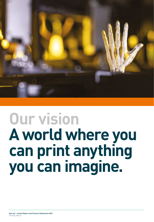

# **Our vision A world where you can print anything you can imagine.**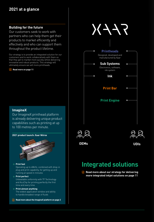# **2021 at a glance**

# **Building for the future**

Our customers seek to work with partners who can help them get their products to market efficiently and effectively and who can support them throughout the product lifetime.

Our strategy is to provide an integrated solution for our customers and to work collaboratively with them so that they get to market more quickly whilst delivering innovative and robust products. This strategy will ultimately ensure we sell more printheads.

#### i **Read more on page 11**

# **ImagineX**

Our ImagineX printhead platform is already delivering unique product capabilities such as printing at up to 100 metres per minute.





# **Integrated solutions**

**E** Read more about our strategy for delivering **more integrated inkjet solutions on page 11**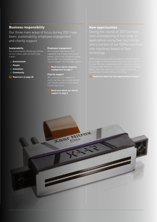# **Business responsibility**

Our three main areas of focus during 2021 have been: sustainability, employee engagement and charity support.

#### **Sustainability**

Our Sustainability Roadmap centres on four areas, each of which has a goal:

- L**Environment**
- L**People**
- L**Innovation**
- L**Community**
- i **Read more on page 28**

#### **Employee engagement**

Our success depends on the capability and engagement of our people, which has included a focus during 2021 on embedding our

i **Read more about employee engagement on page 3**

#### **Charity support**

We continued our support of local charities via a collaboration with Break charity's Cows About Cambridge Event.

i **Read more about our charity support on page 3**

tro

#### **New opportunities**

seen a broadening of the range of applications using Xaar technology technology.

**i** Read more about our new opportunities on page 3